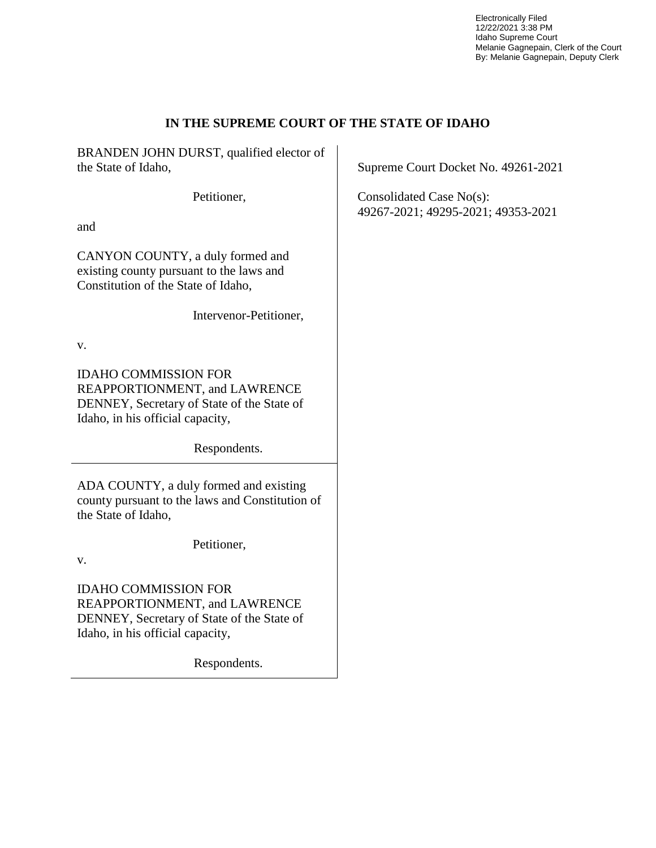Electronically Filed 12/22/2021 3:38 PM Idaho Supreme Court Melanie Gagnepain, Clerk of the Court By: Melanie Gagnepain, Deputy Clerk

### **IN THE SUPREME COURT OF THE STATE OF IDAHO**

BRANDEN JOHN DURST, qualified elector of the State of Idaho,

Petitioner,

and

CANYON COUNTY, a duly formed and existing county pursuant to the laws and Constitution of the State of Idaho,

Intervenor-Petitioner,

v.

IDAHO COMMISSION FOR REAPPORTIONMENT, and LAWRENCE DENNEY, Secretary of State of the State of Idaho, in his official capacity,

Respondents.

ADA COUNTY, a duly formed and existing county pursuant to the laws and Constitution of the State of Idaho,

Petitioner,

v.

IDAHO COMMISSION FOR REAPPORTIONMENT, and LAWRENCE DENNEY, Secretary of State of the State of Idaho, in his official capacity,

Respondents.

Supreme Court Docket No. 49261-2021

Consolidated Case No(s): 49267-2021; 49295-2021; 49353-2021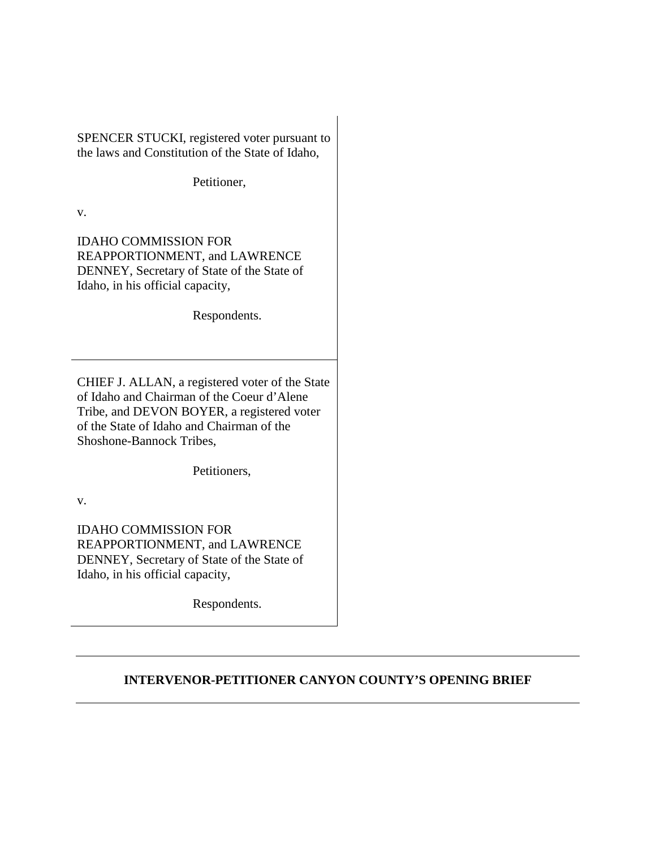SPENCER STUCKI, registered voter pursuant to the laws and Constitution of the State of Idaho,

Petitioner,

v.

IDAHO COMMISSION FOR REAPPORTIONMENT, and LAWRENCE DENNEY, Secretary of State of the State of Idaho, in his official capacity,

Respondents.

CHIEF J. ALLAN, a registered voter of the State of Idaho and Chairman of the Coeur d'Alene Tribe, and DEVON BOYER, a registered voter of the State of Idaho and Chairman of the Shoshone-Bannock Tribes,

Petitioners,

v.

IDAHO COMMISSION FOR REAPPORTIONMENT, and LAWRENCE DENNEY, Secretary of State of the State of Idaho, in his official capacity,

Respondents.

## **INTERVENOR-PETITIONER CANYON COUNTY'S OPENING BRIEF**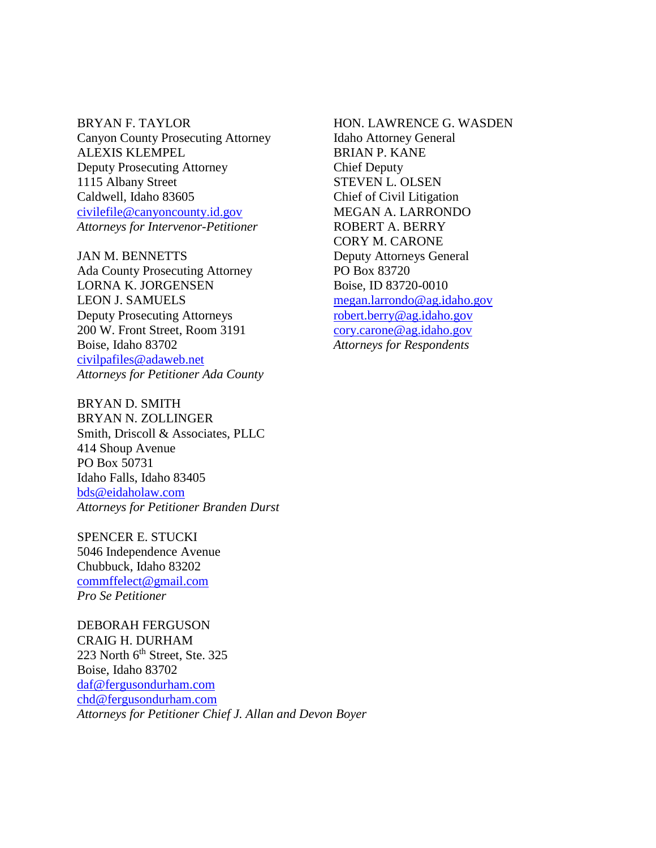BRYAN F. TAYLOR Canyon County Prosecuting Attorney ALEXIS KLEMPEL Deputy Prosecuting Attorney 1115 Albany Street Caldwell, Idaho 83605 civilefile@canyoncounty.id.gov *Attorneys for Intervenor-Petitioner* 

JAN M. BENNETTS Ada County Prosecuting Attorney LORNA K. JORGENSEN LEON J. SAMUELS Deputy Prosecuting Attorneys 200 W. Front Street, Room 3191 Boise, Idaho 83702 civilpafiles@adaweb.net *Attorneys for Petitioner Ada County* 

BRYAN D. SMITH BRYAN N. ZOLLINGER Smith, Driscoll & Associates, PLLC 414 Shoup Avenue PO Box 50731 Idaho Falls, Idaho 83405 bds@eidaholaw.com *Attorneys for Petitioner Branden Durst* 

SPENCER E. STUCKI 5046 Independence Avenue Chubbuck, Idaho 83202 commffelect@gmail.com *Pro Se Petitioner*

DEBORAH FERGUSON CRAIG H. DURHAM 223 North  $6<sup>th</sup>$  Street, Ste. 325 Boise, Idaho 83702 daf@fergusondurham.com chd@fergusondurham.com *Attorneys for Petitioner Chief J. Allan and Devon Boyer*

HON. LAWRENCE G. WASDEN Idaho Attorney General BRIAN P. KANE Chief Deputy STEVEN L. OLSEN Chief of Civil Litigation MEGAN A. LARRONDO ROBERT A. BERRY CORY M. CARONE Deputy Attorneys General PO Box 83720 Boise, ID 83720-0010 megan.larrondo@ag.idaho.gov robert.berry@ag.idaho.gov cory.carone@ag.idaho.gov *Attorneys for Respondents*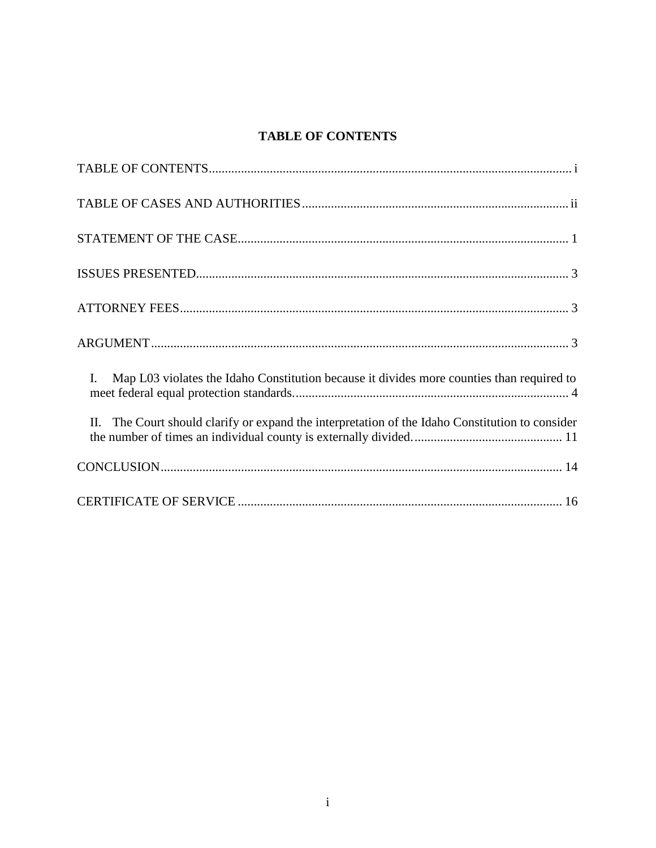## **TABLE OF CONTENTS**

| Map L03 violates the Idaho Constitution because it divides more counties than required to<br>$\mathbf{I}$ . |
|-------------------------------------------------------------------------------------------------------------|
| II. The Court should clarify or expand the interpretation of the Idaho Constitution to consider             |
|                                                                                                             |
|                                                                                                             |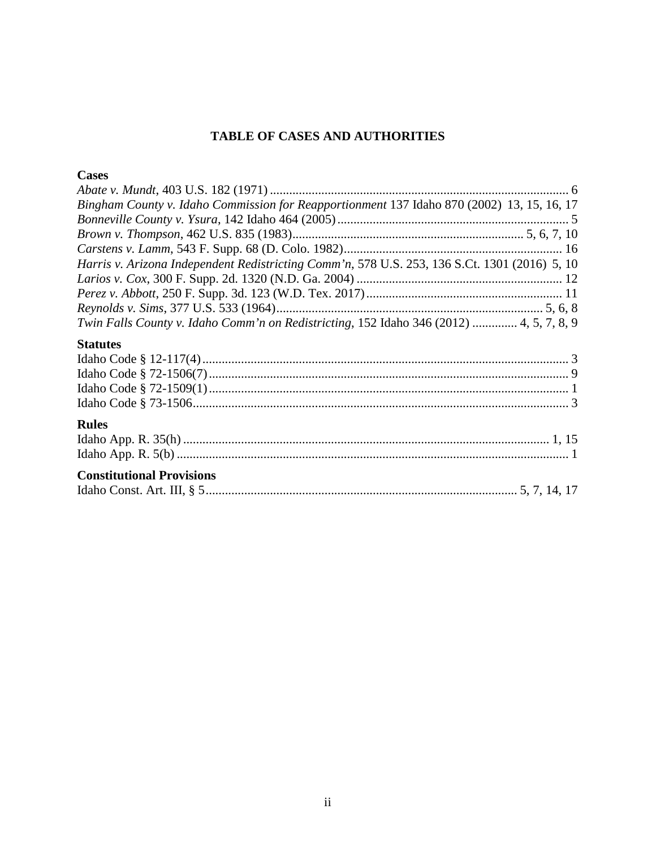## TABLE OF CASES AND AUTHORITIES

## **Cases**

| Bingham County v. Idaho Commission for Reapportionment 137 Idaho 870 (2002) 13, 15, 16, 17    |
|-----------------------------------------------------------------------------------------------|
|                                                                                               |
|                                                                                               |
|                                                                                               |
| Harris v. Arizona Independent Redistricting Comm'n, 578 U.S. 253, 136 S.Ct. 1301 (2016) 5, 10 |
|                                                                                               |
|                                                                                               |
|                                                                                               |
| Twin Falls County v. Idaho Comm'n on Redistricting, 152 Idaho 346 (2012)  4, 5, 7, 8, 9       |
| <b>Statutes</b>                                                                               |
|                                                                                               |
|                                                                                               |
|                                                                                               |
|                                                                                               |

## **Rules**

# **Constitutional Provisions**

|--|--|--|--|--|--|--|--|--|--|--|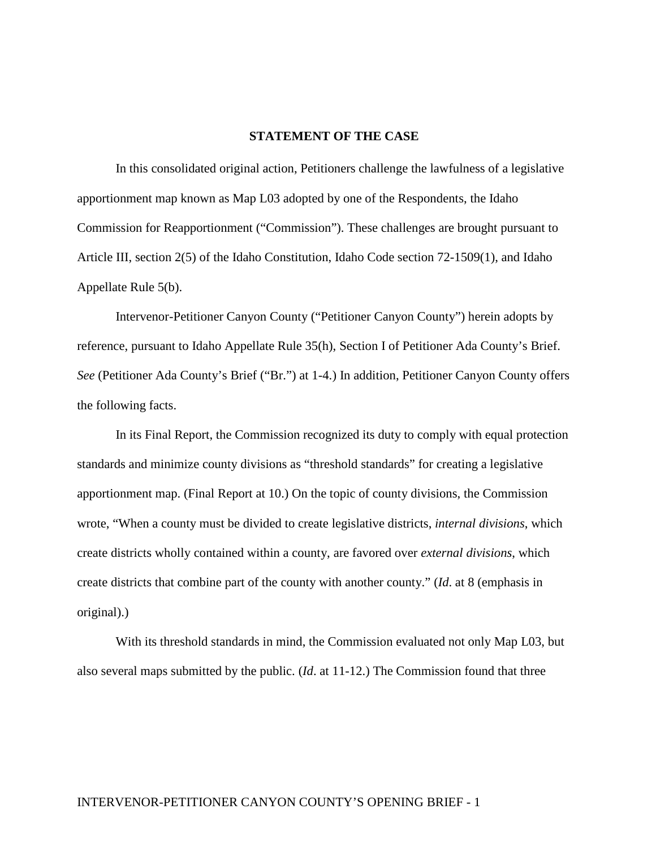#### **STATEMENT OF THE CASE**

In this consolidated original action, Petitioners challenge the lawfulness of a legislative apportionment map known as Map L03 adopted by one of the Respondents, the Idaho Commission for Reapportionment ("Commission"). These challenges are brought pursuant to Article III, section 2(5) of the Idaho Constitution, Idaho Code section 72-1509(1), and Idaho Appellate Rule 5(b).

Intervenor-Petitioner Canyon County ("Petitioner Canyon County") herein adopts by reference, pursuant to Idaho Appellate Rule 35(h), Section I of Petitioner Ada County's Brief. *See* (Petitioner Ada County's Brief ("Br.") at 1-4.) In addition, Petitioner Canyon County offers the following facts.

In its Final Report, the Commission recognized its duty to comply with equal protection standards and minimize county divisions as "threshold standards" for creating a legislative apportionment map. (Final Report at 10.) On the topic of county divisions, the Commission wrote, "When a county must be divided to create legislative districts, *internal divisions*, which create districts wholly contained within a county, are favored over *external divisions*, which create districts that combine part of the county with another county." (*Id*. at 8 (emphasis in original).)

With its threshold standards in mind, the Commission evaluated not only Map L03, but also several maps submitted by the public. (*Id*. at 11-12.) The Commission found that three

### INTERVENOR-PETITIONER CANYON COUNTY'S OPENING BRIEF - 1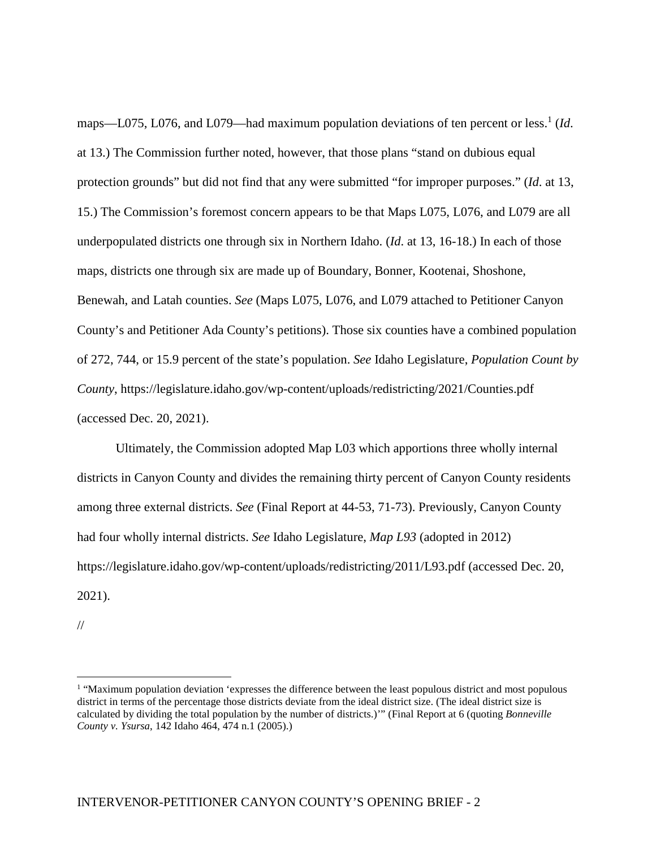maps—L075, L076, and L079—had maximum population deviations of ten percent or less.<sup>1</sup> (*Id*. at 13.) The Commission further noted, however, that those plans "stand on dubious equal protection grounds" but did not find that any were submitted "for improper purposes." (*Id*. at 13, 15.) The Commission's foremost concern appears to be that Maps L075, L076, and L079 are all underpopulated districts one through six in Northern Idaho. (*Id*. at 13, 16-18.) In each of those maps, districts one through six are made up of Boundary, Bonner, Kootenai, Shoshone, Benewah, and Latah counties. *See* (Maps L075, L076, and L079 attached to Petitioner Canyon County's and Petitioner Ada County's petitions). Those six counties have a combined population of 272, 744, or 15.9 percent of the state's population. *See* Idaho Legislature, *Population Count by County*, https://legislature.idaho.gov/wp-content/uploads/redistricting/2021/Counties.pdf (accessed Dec. 20, 2021).

Ultimately, the Commission adopted Map L03 which apportions three wholly internal districts in Canyon County and divides the remaining thirty percent of Canyon County residents among three external districts. *See* (Final Report at 44-53, 71-73). Previously, Canyon County had four wholly internal districts. *See* Idaho Legislature, *Map L93* (adopted in 2012) https://legislature.idaho.gov/wp-content/uploads/redistricting/2011/L93.pdf (accessed Dec. 20, 2021).

//

<sup>&</sup>lt;sup>1</sup> "Maximum population deviation 'expresses the difference between the least populous district and most populous district in terms of the percentage those districts deviate from the ideal district size. (The ideal district size is calculated by dividing the total population by the number of districts.)'" (Final Report at 6 (quoting *Bonneville County v. Ysursa*, 142 Idaho 464, 474 n.1 (2005).)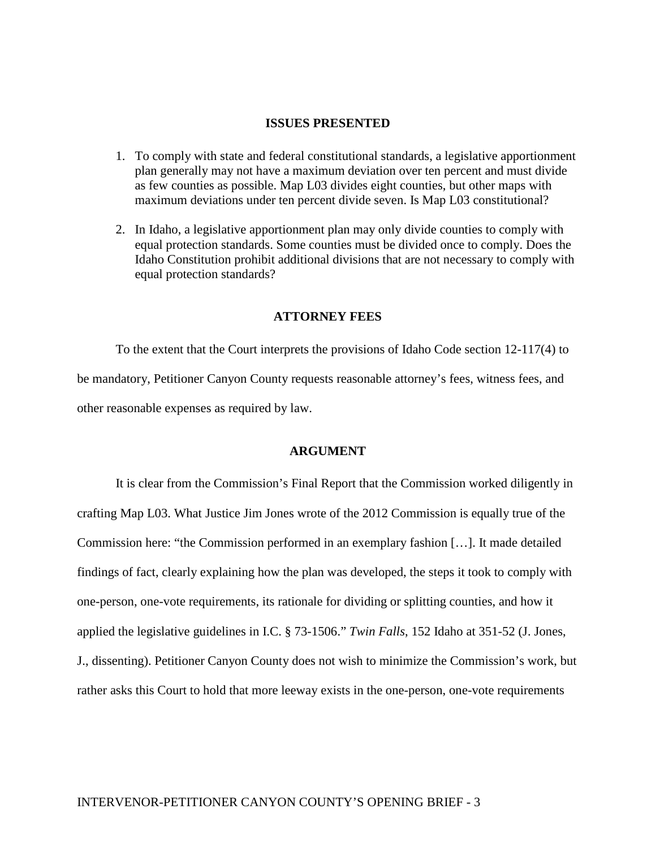#### **ISSUES PRESENTED**

- 1. To comply with state and federal constitutional standards, a legislative apportionment plan generally may not have a maximum deviation over ten percent and must divide as few counties as possible. Map L03 divides eight counties, but other maps with maximum deviations under ten percent divide seven. Is Map L03 constitutional?
- 2. In Idaho, a legislative apportionment plan may only divide counties to comply with equal protection standards. Some counties must be divided once to comply. Does the Idaho Constitution prohibit additional divisions that are not necessary to comply with equal protection standards?

#### **ATTORNEY FEES**

To the extent that the Court interprets the provisions of Idaho Code section 12-117(4) to be mandatory, Petitioner Canyon County requests reasonable attorney's fees, witness fees, and other reasonable expenses as required by law.

#### **ARGUMENT**

It is clear from the Commission's Final Report that the Commission worked diligently in crafting Map L03. What Justice Jim Jones wrote of the 2012 Commission is equally true of the Commission here: "the Commission performed in an exemplary fashion […]. It made detailed findings of fact, clearly explaining how the plan was developed, the steps it took to comply with one-person, one-vote requirements, its rationale for dividing or splitting counties, and how it applied the legislative guidelines in I.C. § 73-1506." *Twin Falls*, 152 Idaho at 351-52 (J. Jones, J., dissenting). Petitioner Canyon County does not wish to minimize the Commission's work, but rather asks this Court to hold that more leeway exists in the one-person, one-vote requirements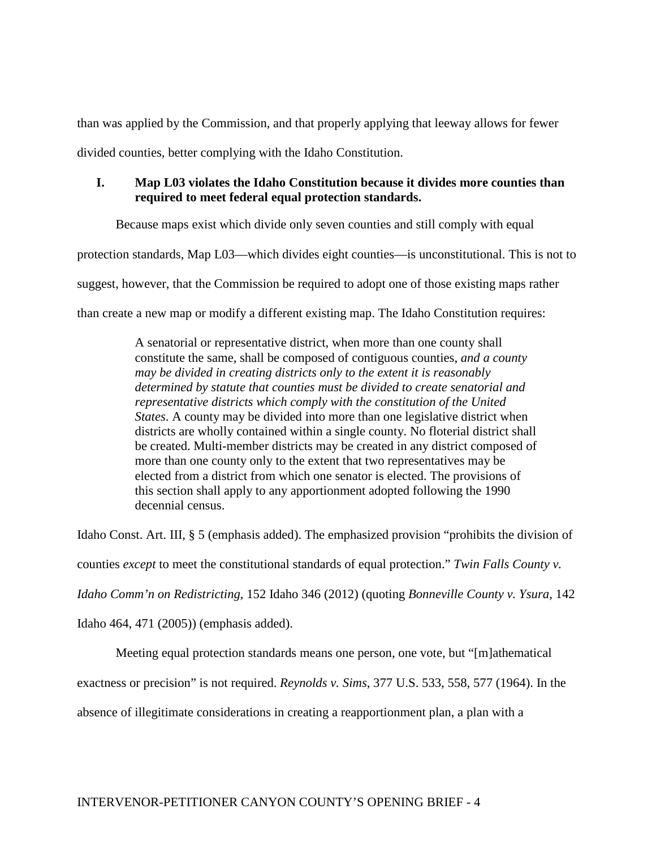than was applied by the Commission, and that properly applying that leeway allows for fewer divided counties, better complying with the Idaho Constitution.

### **I. Map L03 violates the Idaho Constitution because it divides more counties than required to meet federal equal protection standards.**

Because maps exist which divide only seven counties and still comply with equal protection standards, Map L03—which divides eight counties—is unconstitutional. This is not to suggest, however, that the Commission be required to adopt one of those existing maps rather than create a new map or modify a different existing map. The Idaho Constitution requires:

> A senatorial or representative district, when more than one county shall constitute the same, shall be composed of contiguous counties, *and a county may be divided in creating districts only to the extent it is reasonably determined by statute that counties must be divided to create senatorial and representative districts which comply with the constitution of the United States*. A county may be divided into more than one legislative district when districts are wholly contained within a single county. No floterial district shall be created. Multi-member districts may be created in any district composed of more than one county only to the extent that two representatives may be elected from a district from which one senator is elected. The provisions of this section shall apply to any apportionment adopted following the 1990 decennial census.

Idaho Const. Art. III, § 5 (emphasis added). The emphasized provision "prohibits the division of

counties *except* to meet the constitutional standards of equal protection." *Twin Falls County v.* 

*Idaho Comm'n on Redistricting*, 152 Idaho 346 (2012) (quoting *Bonneville County v. Ysura*, 142

Idaho 464, 471 (2005)) (emphasis added).

Meeting equal protection standards means one person, one vote, but "[m]athematical

exactness or precision" is not required. *Reynolds v. Sims*, 377 U.S. 533, 558, 577 (1964). In the

absence of illegitimate considerations in creating a reapportionment plan, a plan with a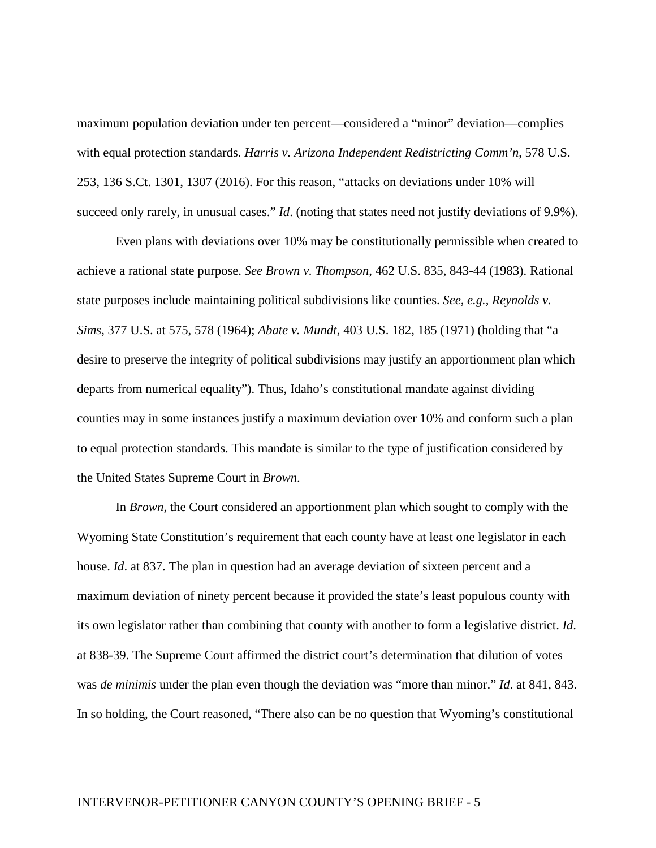maximum population deviation under ten percent—considered a "minor" deviation—complies with equal protection standards. *Harris v. Arizona Independent Redistricting Comm'n*, 578 U.S. 253, 136 S.Ct. 1301, 1307 (2016). For this reason, "attacks on deviations under 10% will succeed only rarely, in unusual cases." *Id*. (noting that states need not justify deviations of 9.9%).

Even plans with deviations over 10% may be constitutionally permissible when created to achieve a rational state purpose. *See Brown v. Thompson*, 462 U.S. 835, 843-44 (1983). Rational state purposes include maintaining political subdivisions like counties. *See, e.g., Reynolds v. Sims*, 377 U.S. at 575, 578 (1964); *Abate v. Mundt*, 403 U.S. 182, 185 (1971) (holding that "a desire to preserve the integrity of political subdivisions may justify an apportionment plan which departs from numerical equality"). Thus, Idaho's constitutional mandate against dividing counties may in some instances justify a maximum deviation over 10% and conform such a plan to equal protection standards. This mandate is similar to the type of justification considered by the United States Supreme Court in *Brown*.

In *Brown*, the Court considered an apportionment plan which sought to comply with the Wyoming State Constitution's requirement that each county have at least one legislator in each house. *Id*. at 837. The plan in question had an average deviation of sixteen percent and a maximum deviation of ninety percent because it provided the state's least populous county with its own legislator rather than combining that county with another to form a legislative district. *Id*. at 838-39. The Supreme Court affirmed the district court's determination that dilution of votes was *de minimis* under the plan even though the deviation was "more than minor." *Id*. at 841, 843. In so holding, the Court reasoned, "There also can be no question that Wyoming's constitutional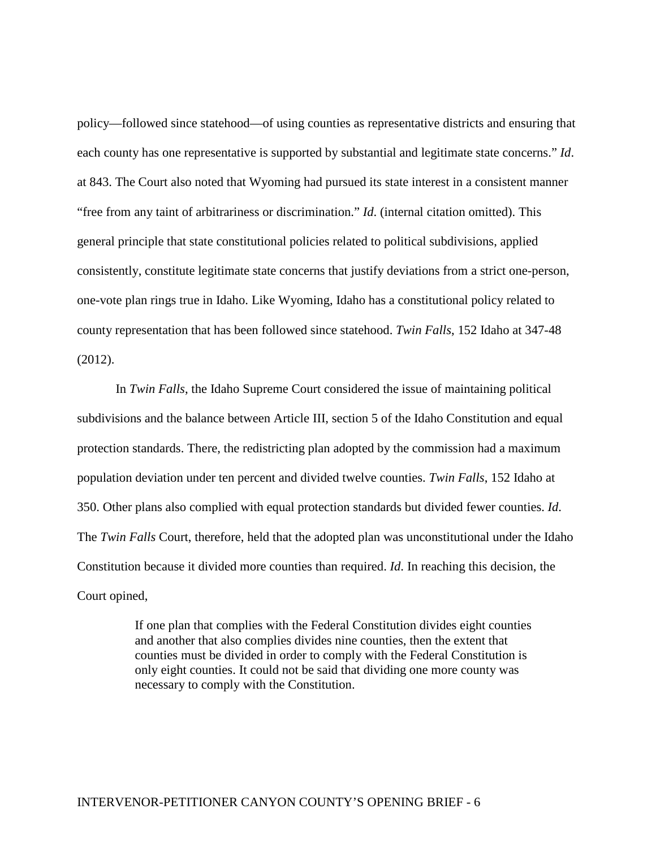policy—followed since statehood—of using counties as representative districts and ensuring that each county has one representative is supported by substantial and legitimate state concerns." *Id*. at 843. The Court also noted that Wyoming had pursued its state interest in a consistent manner "free from any taint of arbitrariness or discrimination." *Id*. (internal citation omitted). This general principle that state constitutional policies related to political subdivisions, applied consistently, constitute legitimate state concerns that justify deviations from a strict one-person, one-vote plan rings true in Idaho. Like Wyoming, Idaho has a constitutional policy related to county representation that has been followed since statehood. *Twin Falls*, 152 Idaho at 347-48 (2012).

In *Twin Falls*, the Idaho Supreme Court considered the issue of maintaining political subdivisions and the balance between Article III, section 5 of the Idaho Constitution and equal protection standards. There, the redistricting plan adopted by the commission had a maximum population deviation under ten percent and divided twelve counties. *Twin Falls*, 152 Idaho at 350. Other plans also complied with equal protection standards but divided fewer counties. *Id*. The *Twin Falls* Court, therefore, held that the adopted plan was unconstitutional under the Idaho Constitution because it divided more counties than required. *Id*. In reaching this decision, the Court opined,

> If one plan that complies with the Federal Constitution divides eight counties and another that also complies divides nine counties, then the extent that counties must be divided in order to comply with the Federal Constitution is only eight counties. It could not be said that dividing one more county was necessary to comply with the Constitution.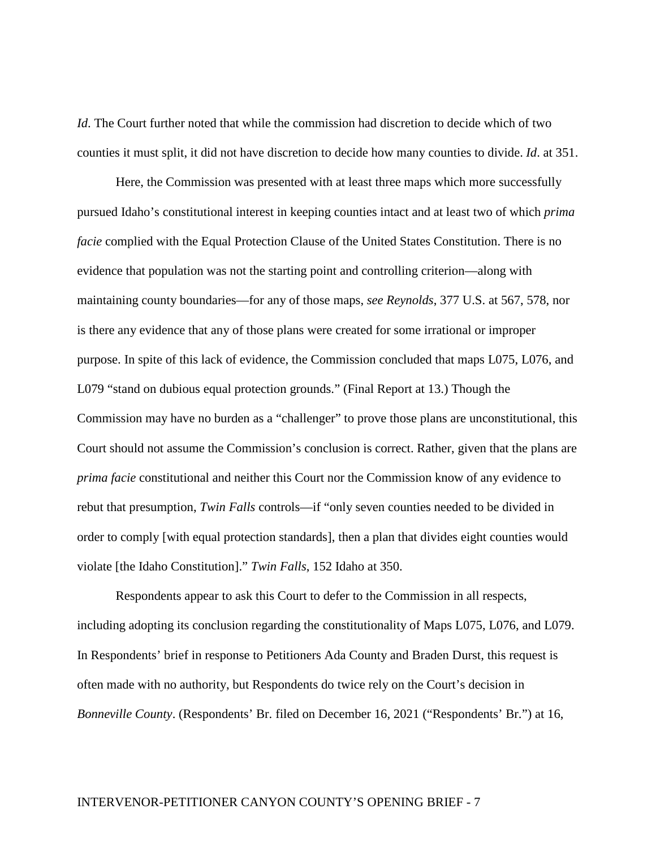*Id*. The Court further noted that while the commission had discretion to decide which of two counties it must split, it did not have discretion to decide how many counties to divide. *Id*. at 351.

Here, the Commission was presented with at least three maps which more successfully pursued Idaho's constitutional interest in keeping counties intact and at least two of which *prima facie* complied with the Equal Protection Clause of the United States Constitution. There is no evidence that population was not the starting point and controlling criterion—along with maintaining county boundaries—for any of those maps, *see Reynolds*, 377 U.S. at 567, 578, nor is there any evidence that any of those plans were created for some irrational or improper purpose. In spite of this lack of evidence, the Commission concluded that maps L075, L076, and L079 "stand on dubious equal protection grounds." (Final Report at 13.) Though the Commission may have no burden as a "challenger" to prove those plans are unconstitutional, this Court should not assume the Commission's conclusion is correct. Rather, given that the plans are *prima facie* constitutional and neither this Court nor the Commission know of any evidence to rebut that presumption, *Twin Falls* controls—if "only seven counties needed to be divided in order to comply [with equal protection standards], then a plan that divides eight counties would violate [the Idaho Constitution]." *Twin Falls*, 152 Idaho at 350.

Respondents appear to ask this Court to defer to the Commission in all respects, including adopting its conclusion regarding the constitutionality of Maps L075, L076, and L079. In Respondents' brief in response to Petitioners Ada County and Braden Durst, this request is often made with no authority, but Respondents do twice rely on the Court's decision in *Bonneville County*. (Respondents' Br. filed on December 16, 2021 ("Respondents' Br.") at 16,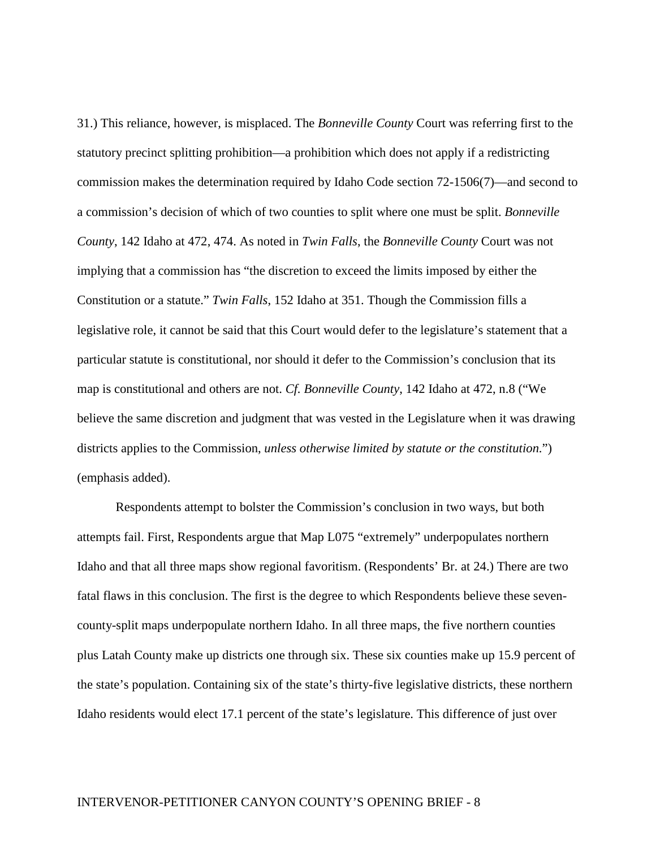31.) This reliance, however, is misplaced. The *Bonneville County* Court was referring first to the statutory precinct splitting prohibition—a prohibition which does not apply if a redistricting commission makes the determination required by Idaho Code section 72-1506(7)—and second to a commission's decision of which of two counties to split where one must be split. *Bonneville County*, 142 Idaho at 472, 474. As noted in *Twin Falls*, the *Bonneville County* Court was not implying that a commission has "the discretion to exceed the limits imposed by either the Constitution or a statute." *Twin Falls*, 152 Idaho at 351. Though the Commission fills a legislative role, it cannot be said that this Court would defer to the legislature's statement that a particular statute is constitutional, nor should it defer to the Commission's conclusion that its map is constitutional and others are not. *Cf. Bonneville County*, 142 Idaho at 472, n.8 ("We believe the same discretion and judgment that was vested in the Legislature when it was drawing districts applies to the Commission, *unless otherwise limited by statute or the constitution*.") (emphasis added).

Respondents attempt to bolster the Commission's conclusion in two ways, but both attempts fail. First, Respondents argue that Map L075 "extremely" underpopulates northern Idaho and that all three maps show regional favoritism. (Respondents' Br. at 24.) There are two fatal flaws in this conclusion. The first is the degree to which Respondents believe these sevencounty-split maps underpopulate northern Idaho. In all three maps, the five northern counties plus Latah County make up districts one through six. These six counties make up 15.9 percent of the state's population. Containing six of the state's thirty-five legislative districts, these northern Idaho residents would elect 17.1 percent of the state's legislature. This difference of just over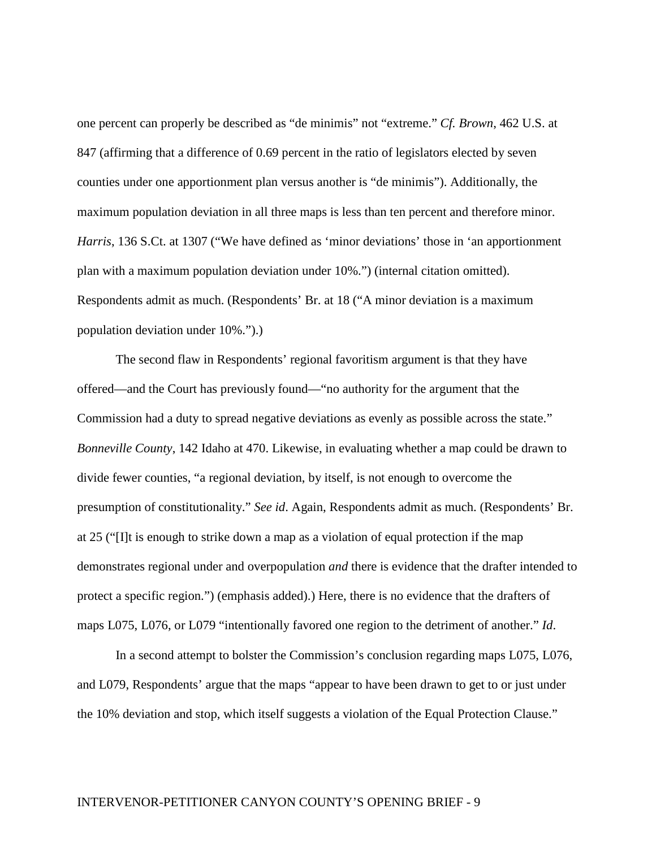one percent can properly be described as "de minimis" not "extreme." *Cf. Brown*, 462 U.S. at 847 (affirming that a difference of 0.69 percent in the ratio of legislators elected by seven counties under one apportionment plan versus another is "de minimis"). Additionally, the maximum population deviation in all three maps is less than ten percent and therefore minor. *Harris*, 136 S.Ct. at 1307 ("We have defined as 'minor deviations' those in 'an apportionment plan with a maximum population deviation under 10%.") (internal citation omitted). Respondents admit as much. (Respondents' Br. at 18 ("A minor deviation is a maximum population deviation under 10%.").)

The second flaw in Respondents' regional favoritism argument is that they have offered—and the Court has previously found—"no authority for the argument that the Commission had a duty to spread negative deviations as evenly as possible across the state." *Bonneville County*, 142 Idaho at 470. Likewise, in evaluating whether a map could be drawn to divide fewer counties, "a regional deviation, by itself, is not enough to overcome the presumption of constitutionality." *See id*. Again, Respondents admit as much. (Respondents' Br. at 25 ("[I]t is enough to strike down a map as a violation of equal protection if the map demonstrates regional under and overpopulation *and* there is evidence that the drafter intended to protect a specific region.") (emphasis added).) Here, there is no evidence that the drafters of maps L075, L076, or L079 "intentionally favored one region to the detriment of another." *Id*.

In a second attempt to bolster the Commission's conclusion regarding maps L075, L076, and L079, Respondents' argue that the maps "appear to have been drawn to get to or just under the 10% deviation and stop, which itself suggests a violation of the Equal Protection Clause."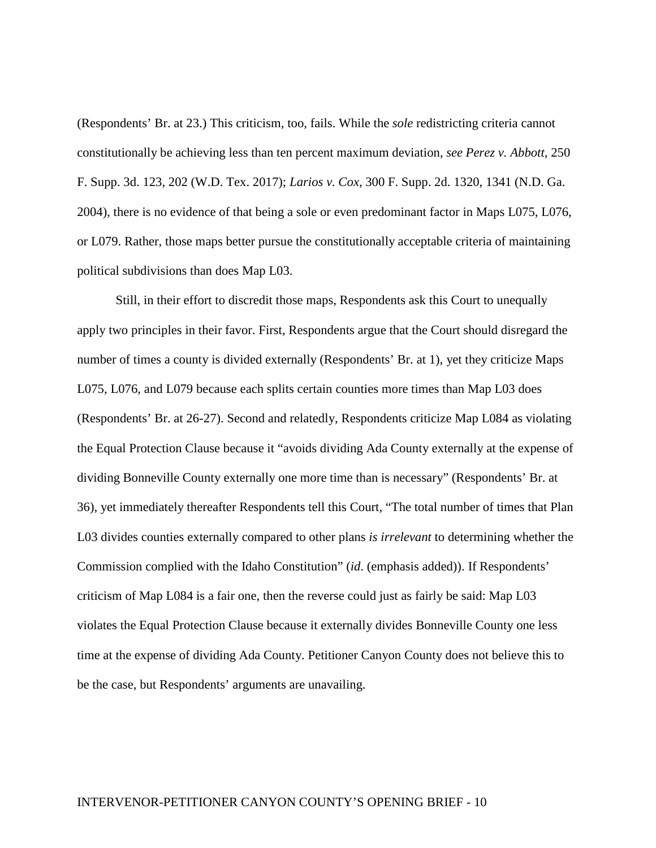(Respondents' Br. at 23.) This criticism, too, fails. While the *sole* redistricting criteria cannot constitutionally be achieving less than ten percent maximum deviation, *see Perez v. Abbott*, 250 F. Supp. 3d. 123, 202 (W.D. Tex. 2017); *Larios v. Cox*, 300 F. Supp. 2d. 1320, 1341 (N.D. Ga. 2004), there is no evidence of that being a sole or even predominant factor in Maps L075, L076, or L079. Rather, those maps better pursue the constitutionally acceptable criteria of maintaining political subdivisions than does Map L03.

Still, in their effort to discredit those maps, Respondents ask this Court to unequally apply two principles in their favor. First, Respondents argue that the Court should disregard the number of times a county is divided externally (Respondents' Br. at 1), yet they criticize Maps L075, L076, and L079 because each splits certain counties more times than Map L03 does (Respondents' Br. at 26-27). Second and relatedly, Respondents criticize Map L084 as violating the Equal Protection Clause because it "avoids dividing Ada County externally at the expense of dividing Bonneville County externally one more time than is necessary" (Respondents' Br. at 36), yet immediately thereafter Respondents tell this Court, "The total number of times that Plan L03 divides counties externally compared to other plans *is irrelevant* to determining whether the Commission complied with the Idaho Constitution" (*id*. (emphasis added)). If Respondents' criticism of Map L084 is a fair one, then the reverse could just as fairly be said: Map L03 violates the Equal Protection Clause because it externally divides Bonneville County one less time at the expense of dividing Ada County. Petitioner Canyon County does not believe this to be the case, but Respondents' arguments are unavailing.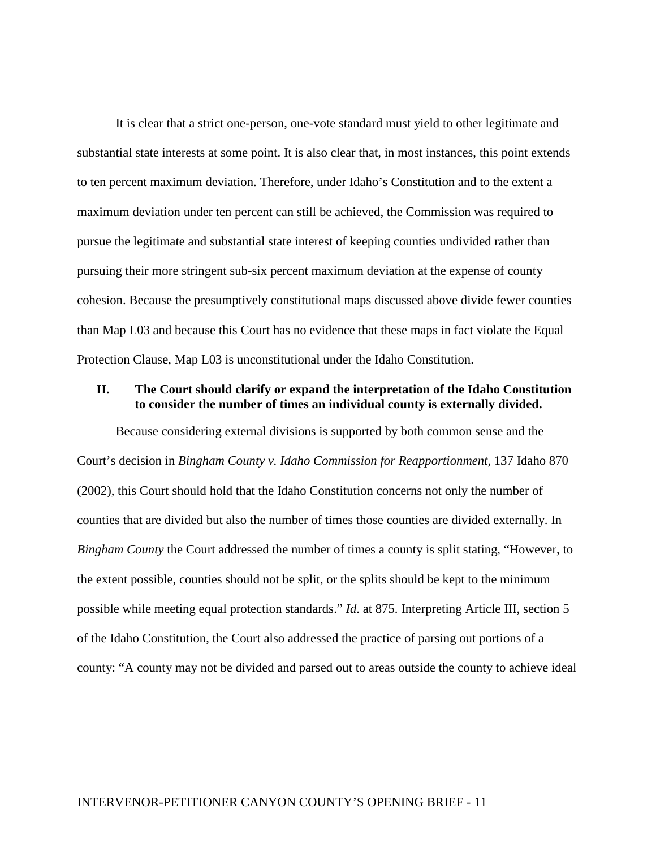It is clear that a strict one-person, one-vote standard must yield to other legitimate and substantial state interests at some point. It is also clear that, in most instances, this point extends to ten percent maximum deviation. Therefore, under Idaho's Constitution and to the extent a maximum deviation under ten percent can still be achieved, the Commission was required to pursue the legitimate and substantial state interest of keeping counties undivided rather than pursuing their more stringent sub-six percent maximum deviation at the expense of county cohesion. Because the presumptively constitutional maps discussed above divide fewer counties than Map L03 and because this Court has no evidence that these maps in fact violate the Equal Protection Clause, Map L03 is unconstitutional under the Idaho Constitution.

### **II. The Court should clarify or expand the interpretation of the Idaho Constitution to consider the number of times an individual county is externally divided.**

Because considering external divisions is supported by both common sense and the Court's decision in *Bingham County v. Idaho Commission for Reapportionment,* 137 Idaho 870 (2002), this Court should hold that the Idaho Constitution concerns not only the number of counties that are divided but also the number of times those counties are divided externally. In *Bingham County* the Court addressed the number of times a county is split stating, "However, to the extent possible, counties should not be split, or the splits should be kept to the minimum possible while meeting equal protection standards." *Id*. at 875. Interpreting Article III, section 5 of the Idaho Constitution, the Court also addressed the practice of parsing out portions of a county: "A county may not be divided and parsed out to areas outside the county to achieve ideal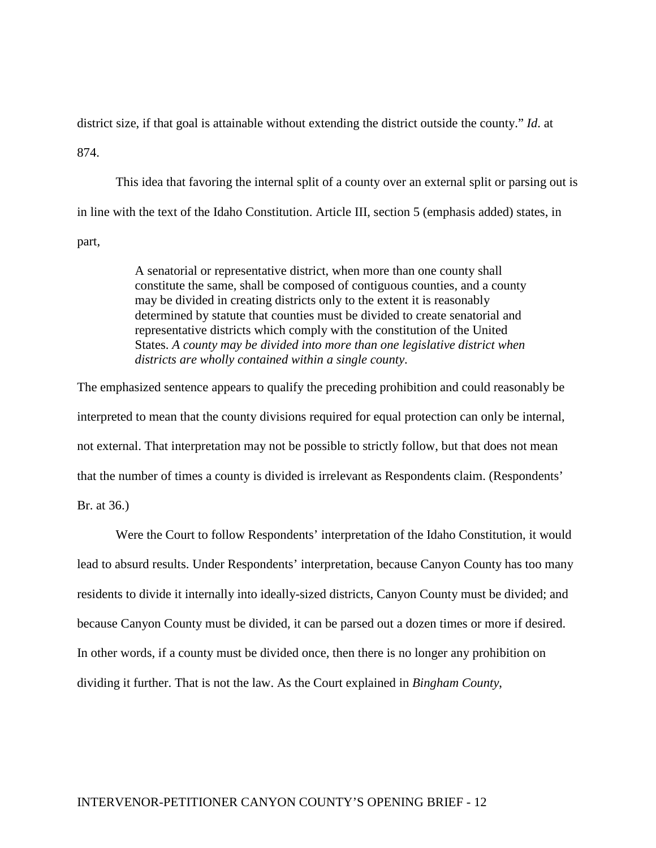district size, if that goal is attainable without extending the district outside the county." *Id*. at 874.

This idea that favoring the internal split of a county over an external split or parsing out is in line with the text of the Idaho Constitution. Article III, section 5 (emphasis added) states, in part,

> A senatorial or representative district, when more than one county shall constitute the same, shall be composed of contiguous counties, and a county may be divided in creating districts only to the extent it is reasonably determined by statute that counties must be divided to create senatorial and representative districts which comply with the constitution of the United States. *A county may be divided into more than one legislative district when districts are wholly contained within a single county*.

The emphasized sentence appears to qualify the preceding prohibition and could reasonably be interpreted to mean that the county divisions required for equal protection can only be internal, not external. That interpretation may not be possible to strictly follow, but that does not mean that the number of times a county is divided is irrelevant as Respondents claim. (Respondents' Br. at 36.)

Were the Court to follow Respondents' interpretation of the Idaho Constitution, it would lead to absurd results. Under Respondents' interpretation, because Canyon County has too many residents to divide it internally into ideally-sized districts, Canyon County must be divided; and because Canyon County must be divided, it can be parsed out a dozen times or more if desired. In other words, if a county must be divided once, then there is no longer any prohibition on dividing it further. That is not the law. As the Court explained in *Bingham County*,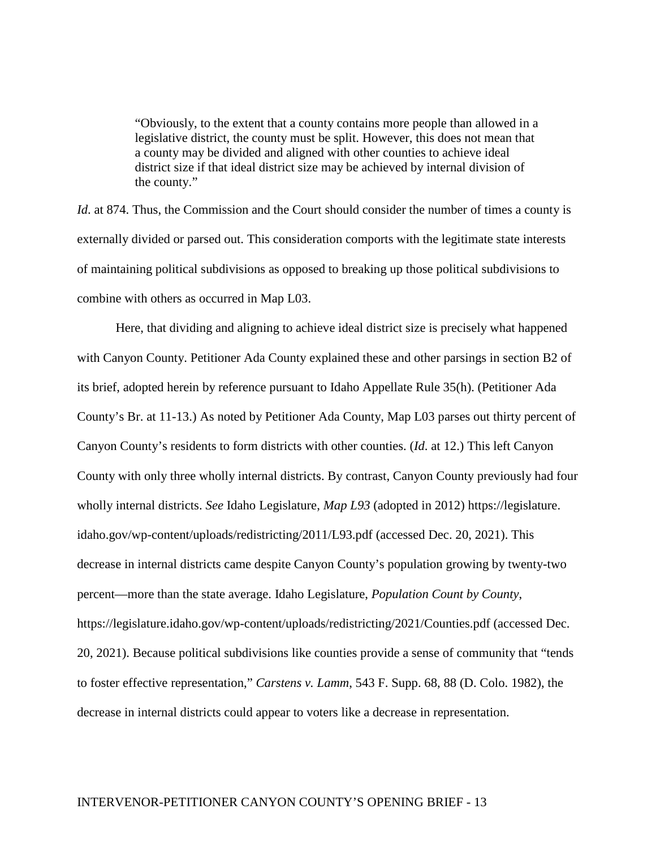"Obviously, to the extent that a county contains more people than allowed in a legislative district, the county must be split. However, this does not mean that a county may be divided and aligned with other counties to achieve ideal district size if that ideal district size may be achieved by internal division of the county."

*Id.* at 874. Thus, the Commission and the Court should consider the number of times a county is externally divided or parsed out. This consideration comports with the legitimate state interests of maintaining political subdivisions as opposed to breaking up those political subdivisions to combine with others as occurred in Map L03.

Here, that dividing and aligning to achieve ideal district size is precisely what happened with Canyon County. Petitioner Ada County explained these and other parsings in section B2 of its brief, adopted herein by reference pursuant to Idaho Appellate Rule 35(h). (Petitioner Ada County's Br. at 11-13.) As noted by Petitioner Ada County, Map L03 parses out thirty percent of Canyon County's residents to form districts with other counties. (*Id*. at 12.) This left Canyon County with only three wholly internal districts. By contrast, Canyon County previously had four wholly internal districts. *See* Idaho Legislature, *Map L93* (adopted in 2012) https://legislature. idaho.gov/wp-content/uploads/redistricting/2011/L93.pdf (accessed Dec. 20, 2021). This decrease in internal districts came despite Canyon County's population growing by twenty-two percent—more than the state average. Idaho Legislature, *Population Count by County*, https://legislature.idaho.gov/wp-content/uploads/redistricting/2021/Counties.pdf (accessed Dec. 20, 2021). Because political subdivisions like counties provide a sense of community that "tends to foster effective representation," *Carstens v. Lamm*, 543 F. Supp. 68, 88 (D. Colo. 1982), the decrease in internal districts could appear to voters like a decrease in representation.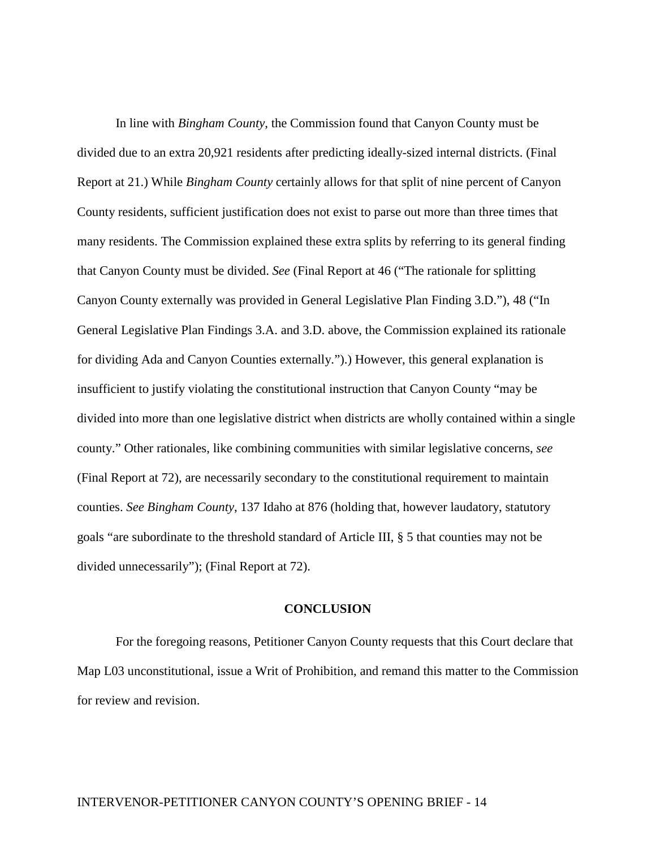In line with *Bingham County*, the Commission found that Canyon County must be divided due to an extra 20,921 residents after predicting ideally-sized internal districts. (Final Report at 21.) While *Bingham County* certainly allows for that split of nine percent of Canyon County residents, sufficient justification does not exist to parse out more than three times that many residents. The Commission explained these extra splits by referring to its general finding that Canyon County must be divided. *See* (Final Report at 46 ("The rationale for splitting Canyon County externally was provided in General Legislative Plan Finding 3.D."), 48 ("In General Legislative Plan Findings 3.A. and 3.D. above, the Commission explained its rationale for dividing Ada and Canyon Counties externally.").) However, this general explanation is insufficient to justify violating the constitutional instruction that Canyon County "may be divided into more than one legislative district when districts are wholly contained within a single county." Other rationales, like combining communities with similar legislative concerns, *see*  (Final Report at 72), are necessarily secondary to the constitutional requirement to maintain counties. *See Bingham County*, 137 Idaho at 876 (holding that, however laudatory, statutory goals "are subordinate to the threshold standard of Article III, § 5 that counties may not be divided unnecessarily"); (Final Report at 72).

#### **CONCLUSION**

For the foregoing reasons, Petitioner Canyon County requests that this Court declare that Map L03 unconstitutional, issue a Writ of Prohibition, and remand this matter to the Commission for review and revision.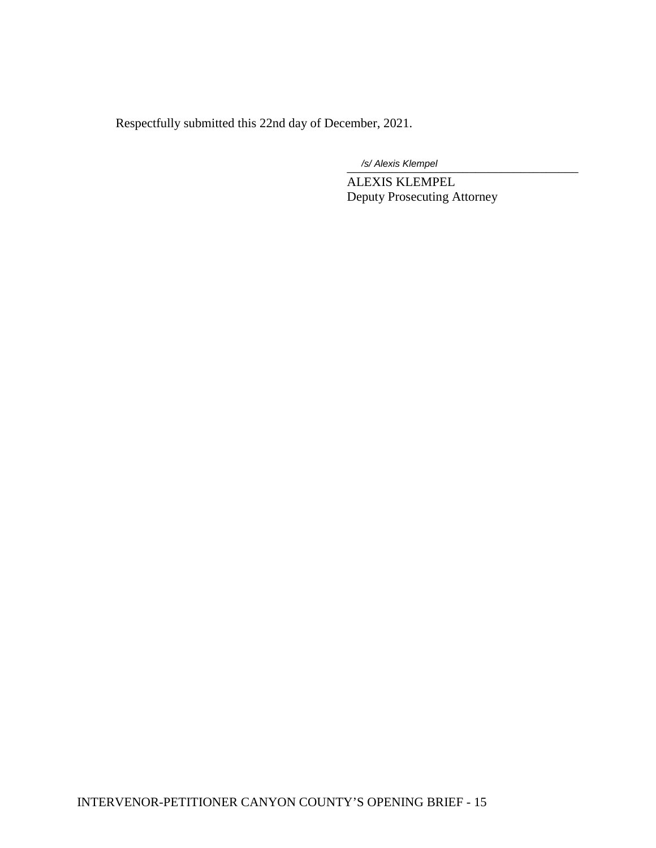Respectfully submitted this 22nd day of December, 2021.

\_\_\_\_\_\_\_\_\_\_\_\_\_\_\_\_\_\_\_\_\_\_\_\_\_\_\_\_\_\_\_\_\_\_\_\_ */s/ Alexis Klempel*

ALEXIS KLEMPEL Deputy Prosecuting Attorney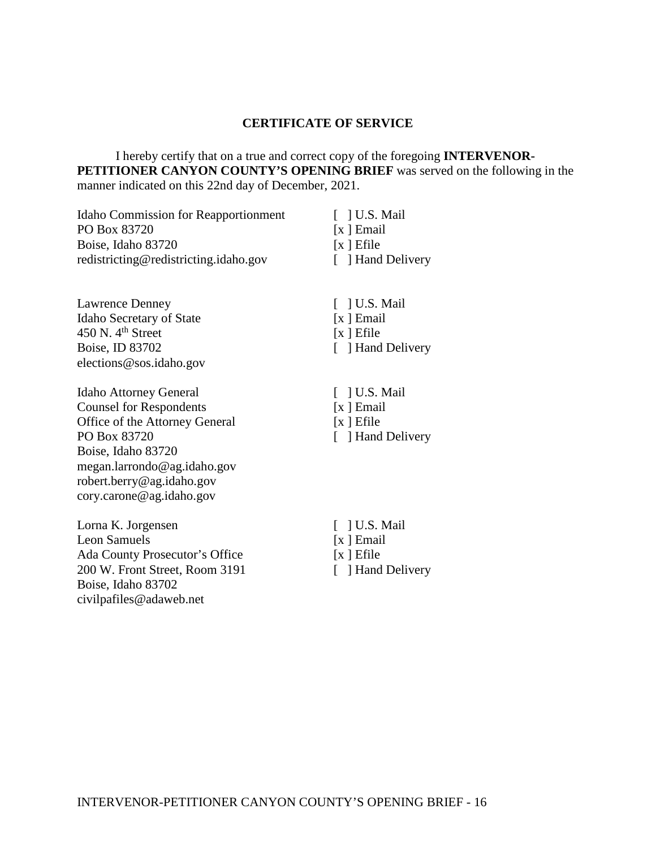### **CERTIFICATE OF SERVICE**

I hereby certify that on a true and correct copy of the foregoing **INTERVENOR-PETITIONER CANYON COUNTY'S OPENING BRIEF** was served on the following in the manner indicated on this 22nd day of December, 2021.

| <b>Idaho Commission for Reapportionment</b> | $\lceil$   U.S. Mail |
|---------------------------------------------|----------------------|
| PO Box 83720                                | $[x]$ Email          |
| Boise, Idaho 83720                          | $[x]$ Efile          |
| redistricting@redistricting.idaho.gov       | [ ] Hand Delivery    |
|                                             |                      |

Lawrence Denney Idaho Secretary of State  $450$  N.  $4<sup>th</sup>$  Street Boise, ID 83702 elections@sos.idaho.gov

Idaho Attorney General Counsel for Respondents Office of the Attorney General PO Box 83720 Boise, Idaho 83720 megan.larrondo@ag.idaho.gov robert.berry@ag.idaho.gov cory.carone@ag.idaho.gov

Lorna K. Jorgensen Leon Samuels Ada County Prosecutor's Office 200 W. Front Street, Room 3191 Boise, Idaho 83702 civilpafiles@adaweb.net

- [ ] U.S. Mail [x ] Email  $[x]$  Efile [ ] Hand Delivery
- [  $]$  U.S. Mail [x ] Email  $[x]$  Efile [ ] Hand Delivery
- [  $]$  U.S. Mail [x ] Email  $[x]$  Efile [ ] Hand Delivery